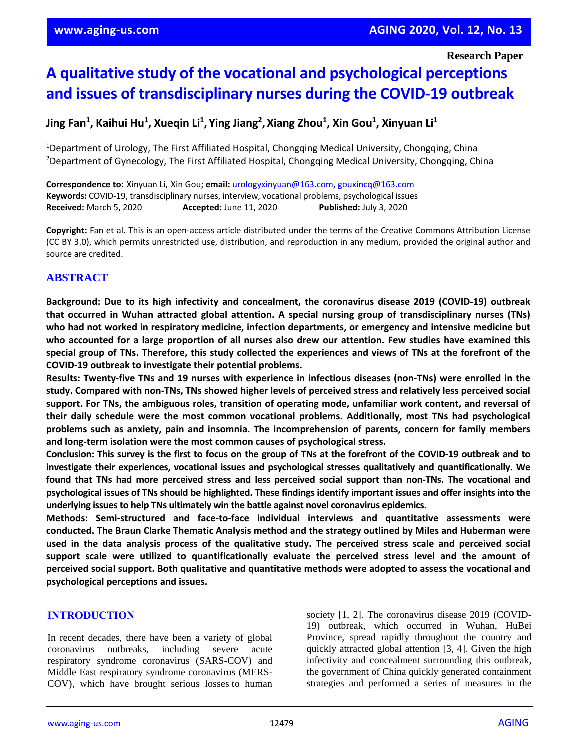# **A qualitative study of the vocational and psychological perceptions and issues of transdisciplinary nurses during the COVID-19 outbreak**

# **Jing Fan<sup>1</sup> , Kaihui Hu<sup>1</sup> , Xueqin Li<sup>1</sup> , Ying Jiang<sup>2</sup> , Xiang Zhou<sup>1</sup> , Xin Gou<sup>1</sup> , Xinyuan Li<sup>1</sup>**

<sup>1</sup>Department of Urology, The First Affiliated Hospital, Chongqing Medical University, Chongqing, China <sup>2</sup>Department of Gynecology, The First Affiliated Hospital, Chongqing Medical University, Chongqing, China

**Correspondence to:** Xinyuan Li, Xin Gou; **email:** [urologyxinyuan@163.com,](mailto:urologyxinyuan@163.com) [gouxincq@163.com](mailto:gouxincq@163.com) **Keywords:** COVID-19, transdisciplinary nurses, interview, vocational problems, psychological issues **Received:** March 5, 2020 **Accepted:** June 11, 2020 **Published:** July 3, 2020

**Copyright:** Fan et al. This is an open-access article distributed under the terms of the Creative Commons Attribution License (CC BY 3.0), which permits unrestricted use, distribution, and reproduction in any medium, provided the original author and source are credited.

# **ABSTRACT**

**Background: Due to its high infectivity and concealment, the coronavirus disease 2019 (COVID-19) outbreak that occurred in Wuhan attracted global attention. A special nursing group of transdisciplinary nurses (TNs) who had not worked in respiratory medicine, infection departments, or emergency and intensive medicine but** who accounted for a large proportion of all nurses also drew our attention. Few studies have examined this special group of TNs. Therefore, this study collected the experiences and views of TNs at the forefront of the **COVID-19 outbreak to investigate their potential problems.**

**Results: Twenty-five TNs and 19 nurses with experience in infectious diseases (non-TNs) were enrolled in the study. Compared with non-TNs, TNs showed higher levels of perceived stress and relatively less perceived social support. For TNs, the ambiguous roles, transition of operating mode, unfamiliar work content, and reversal of their daily schedule were the most common vocational problems. Additionally, most TNs had psychological problems such as anxiety, pain and insomnia. The incomprehension of parents, concern for family members and long-term isolation were the most common causes of psychological stress.**

Conclusion: This survey is the first to focus on the group of TNs at the forefront of the COVID-19 outbreak and to **investigate their experiences, vocational issues and psychological stresses qualitatively and quantificationally. We** found that TNs had more perceived stress and less perceived social support than non-TNs. The vocational and psychological issues of TNs should be highlighted. These findings identify important issues and offer insights into the **underlying issuesto help TNs ultimately win the battle against novel coronavirus epidemics.**

**Methods: Semi-structured and face-to-face individual interviews and quantitative assessments were conducted. The Braun Clarke Thematic Analysis method and the strategy outlined by Miles and Huberman were** used in the data analysis process of the qualitative study. The perceived stress scale and perceived social **support scale were utilized to quantificationally evaluate the perceived stress level and the amount of perceived social support. Both qualitative and quantitative methods were adopted to assess the vocational and psychological perceptions and issues.**

#### **INTRODUCTION**

In recent decades, there have been a variety of global coronavirus outbreaks, including severe acute respiratory syndrome coronavirus (SARS-COV) and Middle East respiratory syndrome coronavirus (MERS-COV), which have brought serious losses to human society [1, 2]. The coronavirus disease 2019 (COVID-19) outbreak, which occurred in Wuhan, HuBei Province, spread rapidly throughout the country and quickly attracted global attention [3, 4]. Given the high infectivity and concealment surrounding this outbreak, the government of China quickly generated containment strategies and performed a series of measures in the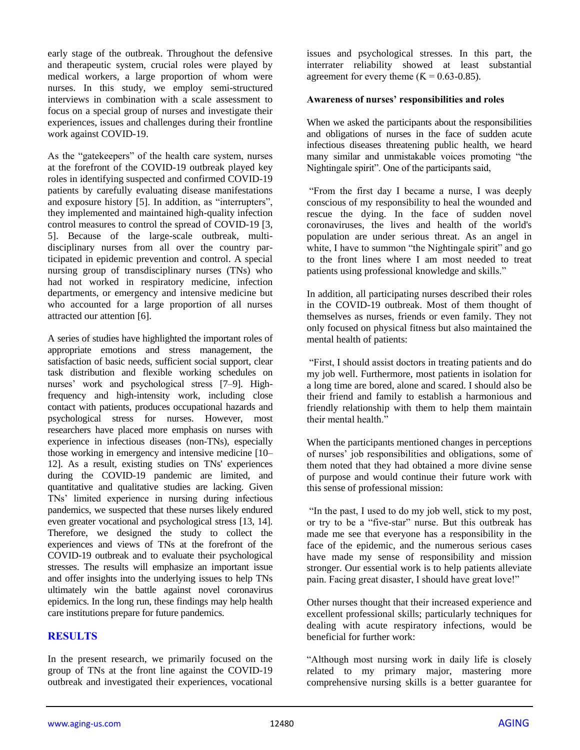early stage of the outbreak. Throughout the defensive and therapeutic system, crucial roles were played by medical workers, a large proportion of whom were nurses. In this study, we employ semi-structured interviews in combination with a scale assessment to focus on a special group of nurses and investigate their experiences, issues and challenges during their frontline work against COVID-19.

As the "gatekeepers" of the health care system, nurses at the forefront of the COVID-19 outbreak played key roles in identifying suspected and confirmed COVID-19 patients by carefully evaluating disease manifestations and exposure history [5]. In addition, as "interrupters", they implemented and maintained high-quality infection control measures to control the spread of COVID-19 [3, 5]. Because of the large-scale outbreak, multidisciplinary nurses from all over the country participated in epidemic prevention and control. A special nursing group of transdisciplinary nurses (TNs) who had not worked in respiratory medicine, infection departments, or emergency and intensive medicine but who accounted for a large proportion of all nurses attracted our attention [6].

A series of studies have highlighted the important roles of appropriate emotions and stress management, the satisfaction of basic needs, sufficient social support, clear task distribution and flexible working schedules on nurses' work and psychological stress [7–9]. Highfrequency and high-intensity work, including close contact with patients, produces occupational hazards and psychological stress for nurses. However, most researchers have placed more emphasis on nurses with experience in infectious diseases (non-TNs), especially those working in emergency and intensive medicine [10– 12]. As a result, existing studies on TNs' experiences during the COVID-19 pandemic are limited, and quantitative and qualitative studies are lacking. Given TNs' limited experience in nursing during infectious pandemics, we suspected that these nurses likely endured even greater vocational and psychological stress [13, 14]. Therefore, we designed the study to collect the experiences and views of TNs at the forefront of the COVID-19 outbreak and to evaluate their psychological stresses. The results will emphasize an important issue and offer insights into the underlying issues to help TNs ultimately win the battle against novel coronavirus epidemics. In the long run, these findings may help health care institutions prepare for future pandemics.

# **RESULTS**

In the present research, we primarily focused on the group of TNs at the front line against the COVID-19 outbreak and investigated their experiences, vocational issues and psychological stresses. In this part, the interrater reliability showed at least substantial agreement for every theme  $(K = 0.63 - 0.85)$ .

#### **Awareness of nurses' responsibilities and roles**

When we asked the participants about the responsibilities and obligations of nurses in the face of sudden acute infectious diseases threatening public health, we heard many similar and unmistakable voices promoting "the Nightingale spirit". One of the participants said,

"From the first day I became a nurse, I was deeply conscious of my responsibility to heal the wounded and rescue the dying. In the face of sudden novel coronaviruses, the lives and health of the world's population are under serious threat. As an angel in white, I have to summon "the Nightingale spirit" and go to the front lines where I am most needed to treat patients using professional knowledge and skills."

In addition, all participating nurses described their roles in the COVID-19 outbreak. Most of them thought of themselves as nurses, friends or even family. They not only focused on physical fitness but also maintained the mental health of patients:

"First, I should assist doctors in treating patients and do my job well. Furthermore, most patients in isolation for a long time are bored, alone and scared. I should also be their friend and family to establish a harmonious and friendly relationship with them to help them maintain their mental health<sup>"</sup>

When the participants mentioned changes in perceptions of nurses' job responsibilities and obligations, some of them noted that they had obtained a more divine sense of purpose and would continue their future work with this sense of professional mission:

"In the past, I used to do my job well, stick to my post, or try to be a "five-star" nurse. But this outbreak has made me see that everyone has a responsibility in the face of the epidemic, and the numerous serious cases have made my sense of responsibility and mission stronger. Our essential work is to help patients alleviate pain. Facing great disaster, I should have great love!"

Other nurses thought that their increased experience and excellent professional skills; particularly techniques for dealing with acute respiratory infections, would be beneficial for further work:

"Although most nursing work in daily life is closely related to my primary major, mastering more comprehensive nursing skills is a better guarantee for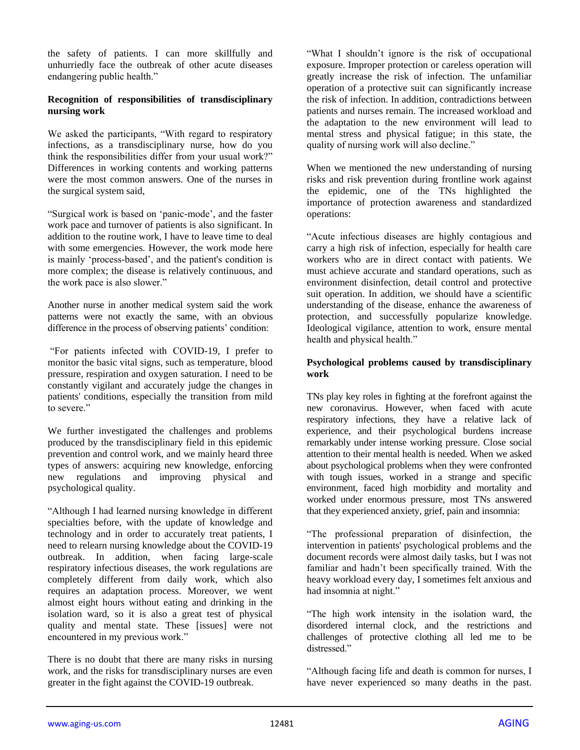the safety of patients. I can more skillfully and unhurriedly face the outbreak of other acute diseases endangering public health."

#### **Recognition of responsibilities of transdisciplinary nursing work**

We asked the participants, "With regard to respiratory infections, as a transdisciplinary nurse, how do you think the responsibilities differ from your usual work?" Differences in working contents and working patterns were the most common answers. One of the nurses in the surgical system said,

"Surgical work is based on 'panic-mode', and the faster work pace and turnover of patients is also significant. In addition to the routine work, I have to leave time to deal with some emergencies. However, the work mode here is mainly 'process-based', and the patient's condition is more complex; the disease is relatively continuous, and the work pace is also slower."

Another nurse in another medical system said the work patterns were not exactly the same, with an obvious difference in the process of observing patients' condition:

"For patients infected with COVID-19, I prefer to monitor the basic vital signs, such as temperature, blood pressure, respiration and oxygen saturation. I need to be constantly vigilant and accurately judge the changes in patients' conditions, especially the transition from mild to severe."

We further investigated the challenges and problems produced by the transdisciplinary field in this epidemic prevention and control work, and we mainly heard three types of answers: acquiring new knowledge, enforcing new regulations and improving physical and psychological quality.

"Although I had learned nursing knowledge in different specialties before, with the update of knowledge and technology and in order to accurately treat patients, I need to relearn nursing knowledge about the COVID-19 outbreak. In addition, when facing large-scale respiratory infectious diseases, the work regulations are completely different from daily work, which also requires an adaptation process. Moreover, we went almost eight hours without eating and drinking in the isolation ward, so it is also a great test of physical quality and mental state. These [issues] were not encountered in my previous work."

There is no doubt that there are many risks in nursing work, and the risks for transdisciplinary nurses are even greater in the fight against the COVID-19 outbreak.

"What I shouldn't ignore is the risk of occupational exposure. Improper protection or careless operation will greatly increase the risk of infection. The unfamiliar operation of a protective suit can significantly increase the risk of infection. In addition, contradictions between patients and nurses remain. The increased workload and the adaptation to the new environment will lead to mental stress and physical fatigue; in this state, the quality of nursing work will also decline."

When we mentioned the new understanding of nursing risks and risk prevention during frontline work against the epidemic, one of the TNs highlighted the importance of protection awareness and standardized operations:

"Acute infectious diseases are highly contagious and carry a high risk of infection, especially for health care workers who are in direct contact with patients. We must achieve accurate and standard operations, such as environment disinfection, detail control and protective suit operation. In addition, we should have a scientific understanding of the disease, enhance the awareness of protection, and successfully popularize knowledge. Ideological vigilance, attention to work, ensure mental health and physical health."

#### **Psychological problems caused by transdisciplinary work**

TNs play key roles in fighting at the forefront against the new coronavirus. However, when faced with acute respiratory infections, they have a relative lack of experience, and their psychological burdens increase remarkably under intense working pressure. Close social attention to their mental health is needed. When we asked about psychological problems when they were confronted with tough issues, worked in a strange and specific environment, faced high morbidity and mortality and worked under enormous pressure, most TNs answered that they experienced anxiety, grief, pain and insomnia:

"The professional preparation of disinfection, the intervention in patients' psychological problems and the document records were almost daily tasks, but I was not familiar and hadn't been specifically trained. With the heavy workload every day, I sometimes felt anxious and had insomnia at night."

"The high work intensity in the isolation ward, the disordered internal clock, and the restrictions and challenges of protective clothing all led me to be distressed."

"Although facing life and death is common for nurses, I have never experienced so many deaths in the past.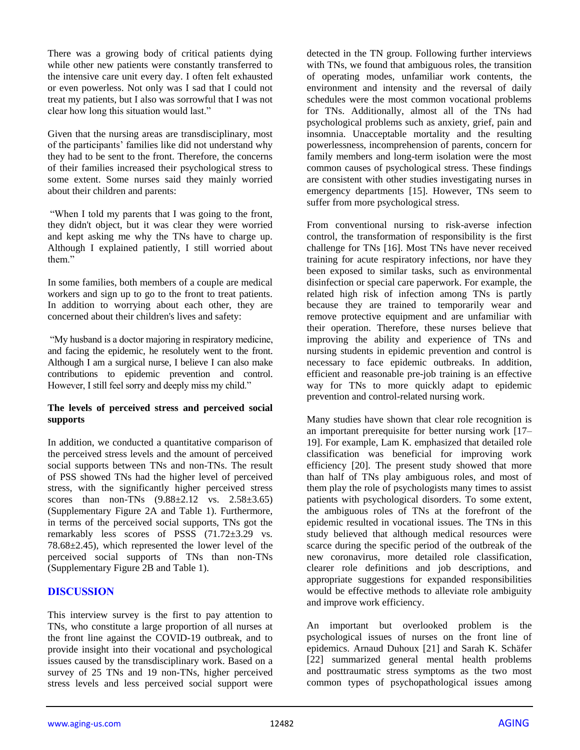There was a growing body of critical patients dying while other new patients were constantly transferred to the intensive care unit every day. I often felt exhausted or even powerless. Not only was I sad that I could not treat my patients, but I also was sorrowful that I was not clear how long this situation would last."

Given that the nursing areas are transdisciplinary, most of the participants' families like did not understand why they had to be sent to the front. Therefore, the concerns of their families increased their psychological stress to some extent. Some nurses said they mainly worried about their children and parents:

"When I told my parents that I was going to the front, they didn't object, but it was clear they were worried and kept asking me why the TNs have to charge up. Although I explained patiently, I still worried about them"

In some families, both members of a couple are medical workers and sign up to go to the front to treat patients. In addition to worrying about each other, they are concerned about their children's lives and safety:

"My husband is a doctor majoring in respiratory medicine, and facing the epidemic, he resolutely went to the front. Although I am a surgical nurse, I believe I can also make contributions to epidemic prevention and control. However, I still feel sorry and deeply miss my child."

#### **The levels of perceived stress and perceived social supports**

In addition, we conducted a quantitative comparison of the perceived stress levels and the amount of perceived social supports between TNs and non-TNs. The result of PSS showed TNs had the higher level of perceived stress, with the significantly higher perceived stress scores than non-TNs  $(9.88 \pm 2.12 \text{ vs. } 2.58 \pm 3.65)$ (Supplementary Figure 2A and Table 1). Furthermore, in terms of the perceived social supports, TNs got the remarkably less scores of PSSS (71.72±3.29 vs. 78.68±2.45), which represented the lower level of the perceived social supports of TNs than non-TNs (Supplementary Figure 2B and Table 1).

# **DISCUSSION**

This interview survey is the first to pay attention to TNs, who constitute a large proportion of all nurses at the front line against the COVID-19 outbreak, and to provide insight into their vocational and psychological issues caused by the transdisciplinary work. Based on a survey of 25 TNs and 19 non-TNs, higher perceived stress levels and less perceived social support were detected in the TN group. Following further interviews with TNs, we found that ambiguous roles, the transition of operating modes, unfamiliar work contents, the environment and intensity and the reversal of daily schedules were the most common vocational problems for TNs. Additionally, almost all of the TNs had psychological problems such as anxiety, grief, pain and insomnia. Unacceptable mortality and the resulting powerlessness, incomprehension of parents, concern for family members and long-term isolation were the most common causes of psychological stress. These findings are consistent with other studies investigating nurses in emergency departments [15]. However, TNs seem to suffer from more psychological stress.

From conventional nursing to risk-averse infection control, the transformation of responsibility is the first challenge for TNs [16]. Most TNs have never received training for acute respiratory infections, nor have they been exposed to similar tasks, such as environmental disinfection or special care paperwork. For example, the related high risk of infection among TNs is partly because they are trained to temporarily wear and remove protective equipment and are unfamiliar with their operation. Therefore, these nurses believe that improving the ability and experience of TNs and nursing students in epidemic prevention and control is necessary to face epidemic outbreaks. In addition, efficient and reasonable pre-job training is an effective way for TNs to more quickly adapt to epidemic prevention and control-related nursing work.

Many studies have shown that clear role recognition is an important prerequisite for better nursing work [17– 19]. For example, Lam K. emphasized that detailed role classification was beneficial for improving work efficiency [20]. The present study showed that more than half of TNs play ambiguous roles, and most of them play the role of psychologists many times to assist patients with psychological disorders. To some extent, the ambiguous roles of TNs at the forefront of the epidemic resulted in vocational issues. The TNs in this study believed that although medical resources were scarce during the specific period of the outbreak of the new coronavirus, more detailed role classification, clearer role definitions and job descriptions, and appropriate suggestions for expanded responsibilities would be effective methods to alleviate role ambiguity and improve work efficiency.

An important but overlooked problem is the psychological issues of nurses on the front line of epidemics. Arnaud Duhoux [21] and Sarah K. Schäfer [22] summarized general mental health problems and posttraumatic stress symptoms as the two most common types of psychopathological issues among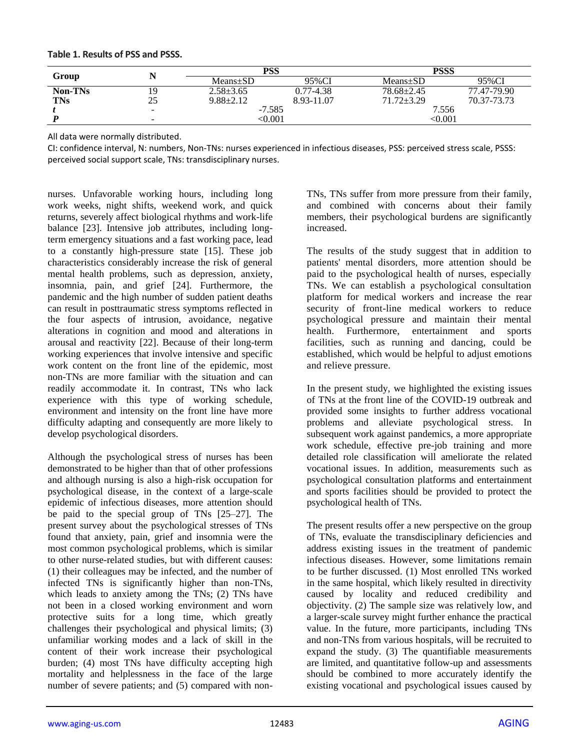| Group          |                          | PSS             |            | <b>PSSS</b>               |             |
|----------------|--------------------------|-----------------|------------|---------------------------|-------------|
|                |                          | $Means \pm SD$  | 95%CI      | $Means \pm SD$            | 95%CI       |
| <b>Non-TNs</b> | 19                       | $2.58 \pm 3.65$ | 0.77-4.38  | $78.68 \pm 2.45$          | 77.47-79.90 |
| <b>TNs</b>     | 25                       | $9.88 \pm 2.12$ | 8.93-11.07 | $71.72 + 3.29$            | 70.37-73.73 |
|                | $\overline{\phantom{0}}$ | $-7.585$        |            | 7.556                     |             |
|                | $\overline{\phantom{0}}$ | < 0.001         |            | $< \hspace{-0.00000.0001$ |             |

**Table 1. Results of PSS and PSSS.**

All data were normally distributed.

CI: confidence interval, N: numbers, Non-TNs: nurses experienced in infectious diseases, PSS: perceived stress scale, PSSS: perceived social support scale, TNs: transdisciplinary nurses.

nurses. Unfavorable working hours, including long work weeks, night shifts, weekend work, and quick returns, severely affect biological rhythms and work-life balance [23]. Intensive job attributes, including longterm emergency situations and a fast working pace, lead to a constantly high-pressure state [15]. These job characteristics considerably increase the risk of general mental health problems, such as depression, anxiety, insomnia, pain, and grief [24]. Furthermore, the pandemic and the high number of sudden patient deaths can result in posttraumatic stress symptoms reflected in the four aspects of intrusion, avoidance, negative alterations in cognition and mood and alterations in arousal and reactivity [22]. Because of their long-term working experiences that involve intensive and specific work content on the front line of the epidemic, most non-TNs are more familiar with the situation and can readily accommodate it. In contrast, TNs who lack experience with this type of working schedule, environment and intensity on the front line have more difficulty adapting and consequently are more likely to develop psychological disorders.

Although the psychological stress of nurses has been demonstrated to be higher than that of other professions and although nursing is also a high-risk occupation for psychological disease, in the context of a large-scale epidemic of infectious diseases, more attention should be paid to the special group of TNs [25–27]. The present survey about the psychological stresses of TNs found that anxiety, pain, grief and insomnia were the most common psychological problems, which is similar to other nurse-related studies, but with different causes: (1) their colleagues may be infected, and the number of infected TNs is significantly higher than non-TNs, which leads to anxiety among the TNs; (2) TNs have not been in a closed working environment and worn protective suits for a long time, which greatly challenges their psychological and physical limits; (3) unfamiliar working modes and a lack of skill in the content of their work increase their psychological burden; (4) most TNs have difficulty accepting high mortality and helplessness in the face of the large number of severe patients; and (5) compared with nonTNs, TNs suffer from more pressure from their family, and combined with concerns about their family members, their psychological burdens are significantly increased.

The results of the study suggest that in addition to patients' mental disorders, more attention should be paid to the psychological health of nurses, especially TNs. We can establish a psychological consultation platform for medical workers and increase the rear security of front-line medical workers to reduce psychological pressure and maintain their mental health. Furthermore, entertainment and sports facilities, such as running and dancing, could be established, which would be helpful to adjust emotions and relieve pressure.

In the present study, we highlighted the existing issues of TNs at the front line of the COVID-19 outbreak and provided some insights to further address vocational problems and alleviate psychological stress. In subsequent work against pandemics, a more appropriate work schedule, effective pre-job training and more detailed role classification will ameliorate the related vocational issues. In addition, measurements such as psychological consultation platforms and entertainment and sports facilities should be provided to protect the psychological health of TNs.

The present results offer a new perspective on the group of TNs, evaluate the transdisciplinary deficiencies and address existing issues in the treatment of pandemic infectious diseases. However, some limitations remain to be further discussed. (1) Most enrolled TNs worked in the same hospital, which likely resulted in directivity caused by locality and reduced credibility and objectivity. (2) The sample size was relatively low, and a larger-scale survey might further enhance the practical value. In the future, more participants, including TNs and non-TNs from various hospitals, will be recruited to expand the study. (3) The quantifiable measurements are limited, and quantitative follow-up and assessments should be combined to more accurately identify the existing vocational and psychological issues caused by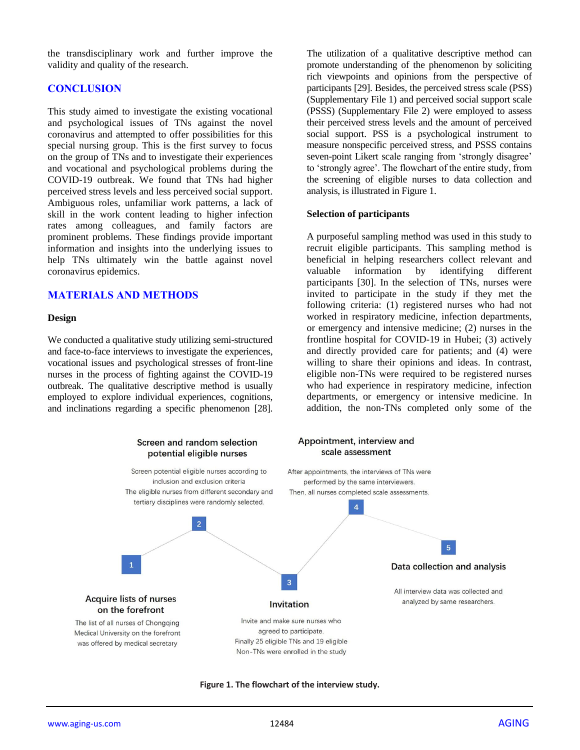the transdisciplinary work and further improve the validity and quality of the research.

## **CONCLUSION**

This study aimed to investigate the existing vocational and psychological issues of TNs against the novel coronavirus and attempted to offer possibilities for this special nursing group. This is the first survey to focus on the group of TNs and to investigate their experiences and vocational and psychological problems during the COVID-19 outbreak. We found that TNs had higher perceived stress levels and less perceived social support. Ambiguous roles, unfamiliar work patterns, a lack of skill in the work content leading to higher infection rates among colleagues, and family factors are prominent problems. These findings provide important information and insights into the underlying issues to help TNs ultimately win the battle against novel coronavirus epidemics.

#### **MATERIALS AND METHODS**

#### **Design**

We conducted a qualitative study utilizing semi-structured and face-to-face interviews to investigate the experiences, vocational issues and psychological stresses of front-line nurses in the process of fighting against the COVID-19 outbreak. The qualitative descriptive method is usually employed to explore individual experiences, cognitions, and inclinations regarding a specific phenomenon [28]. The utilization of a qualitative descriptive method can promote understanding of the phenomenon by soliciting rich viewpoints and opinions from the perspective of participants [29]. Besides, the perceived stress scale (PSS) (Supplementary File 1) and perceived social support scale (PSSS) (Supplementary File 2) were employed to assess their perceived stress levels and the amount of perceived social support. PSS is a psychological instrument to measure nonspecific perceived stress, and PSSS contains seven-point Likert scale ranging from 'strongly disagree' to 'strongly agree'. The flowchart of the entire study, from the screening of eligible nurses to data collection and analysis, is illustrated in Figure 1.

#### **Selection of participants**

A purposeful sampling method was used in this study to recruit eligible participants. This sampling method is beneficial in helping researchers collect relevant and valuable information by identifying different participants [30]. In the selection of TNs, nurses were invited to participate in the study if they met the following criteria: (1) registered nurses who had not worked in respiratory medicine, infection departments, or emergency and intensive medicine; (2) nurses in the frontline hospital for COVID-19 in Hubei; (3) actively and directly provided care for patients; and (4) were willing to share their opinions and ideas. In contrast, eligible non-TNs were required to be registered nurses who had experience in respiratory medicine, infection departments, or emergency or intensive medicine. In addition, the non-TNs completed only some of the



**Figure 1. The flowchart of the interview study.**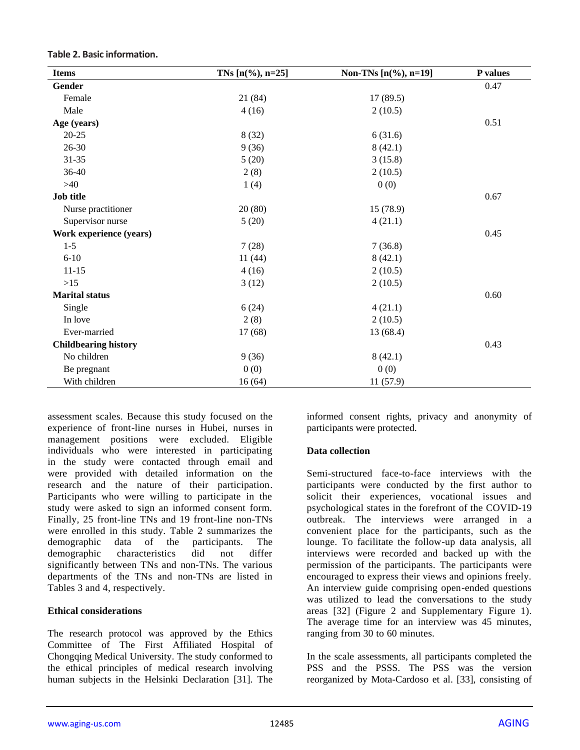| <b>Items</b>                | TNs $[n(\%), n=25]$ | Non-TNs [n(%), n=19] | P values |
|-----------------------------|---------------------|----------------------|----------|
| Gender                      |                     |                      | 0.47     |
| Female                      | 21 (84)             | 17(89.5)             |          |
| Male                        | 4(16)               | 2(10.5)              |          |
| Age (years)                 |                     |                      | 0.51     |
| $20 - 25$                   | 8(32)               | 6(31.6)              |          |
| 26-30                       | 9(36)               | 8(42.1)              |          |
| $31 - 35$                   | 5(20)               | 3(15.8)              |          |
| 36-40                       | 2(8)                | 2(10.5)              |          |
| $>40$                       | 1(4)                | 0(0)                 |          |
| <b>Job title</b>            |                     |                      | 0.67     |
| Nurse practitioner          | 20(80)              | 15(78.9)             |          |
| Supervisor nurse            | 5(20)               | 4(21.1)              |          |
| Work experience (years)     |                     |                      | 0.45     |
| $1 - 5$                     | 7(28)               | 7(36.8)              |          |
| $6 - 10$                    | 11(44)              | 8(42.1)              |          |
| $11 - 15$                   | 4(16)               | 2(10.5)              |          |
| $>15$                       | 3(12)               | 2(10.5)              |          |
| <b>Marital</b> status       |                     |                      | 0.60     |
| Single                      | 6(24)               | 4(21.1)              |          |
| In love                     | 2(8)                | 2(10.5)              |          |
| Ever-married                | 17(68)              | 13 (68.4)            |          |
| <b>Childbearing history</b> |                     |                      | 0.43     |
| No children                 | 9(36)               | 8(42.1)              |          |
| Be pregnant                 | 0(0)                | 0(0)                 |          |
| With children               | 16(64)              | 11(57.9)             |          |

**Table 2. Basic information.**

assessment scales. Because this study focused on the experience of front-line nurses in Hubei, nurses in management positions were excluded. Eligible individuals who were interested in participating in the study were contacted through email and were provided with detailed information on the research and the nature of their participation. Participants who were willing to participate in the study were asked to sign an informed consent form. Finally, 25 front-line TNs and 19 front-line non-TNs were enrolled in this study. Table 2 summarizes the demographic data of the participants. The demographic characteristics did not differ significantly between TNs and non-TNs. The various departments of the TNs and non-TNs are listed in Tables 3 and 4, respectively.

#### **Ethical considerations**

The research protocol was approved by the Ethics Committee of The First Affiliated Hospital of Chongqing Medical University. The study conformed to the ethical principles of medical research involving human subjects in the Helsinki Declaration [31]. The informed consent rights, privacy and anonymity of participants were protected.

#### **Data collection**

Semi-structured face-to-face interviews with the participants were conducted by the first author to solicit their experiences, vocational issues and psychological states in the forefront of the COVID-19 outbreak. The interviews were arranged in a convenient place for the participants, such as the lounge. To facilitate the follow-up data analysis, all interviews were recorded and backed up with the permission of the participants. The participants were encouraged to express their views and opinions freely. An interview guide comprising open-ended questions was utilized to lead the conversations to the study areas [32] (Figure 2 and Supplementary Figure 1). The average time for an interview was 45 minutes, ranging from 30 to 60 minutes.

In the scale assessments, all participants completed the PSS and the PSSS. The PSS was the version reorganized by Mota-Cardoso et al. [33], consisting of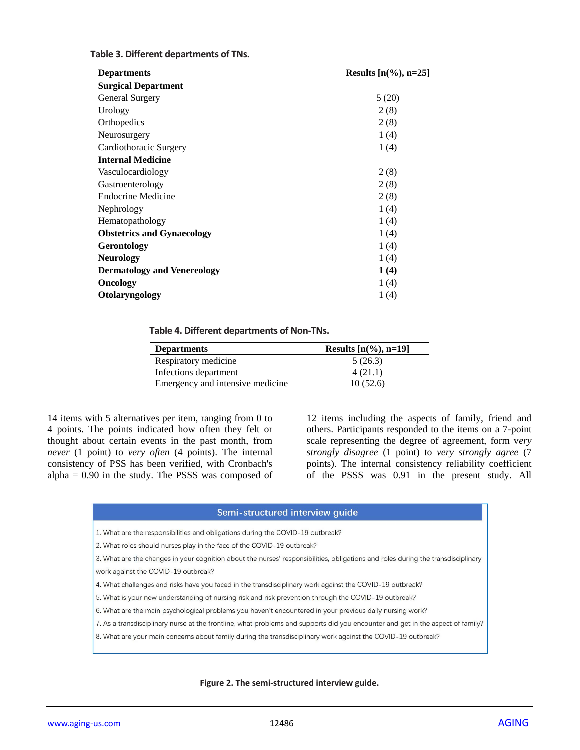| <b>Departments</b>                 | Results $[n(\%), n=25]$ |  |  |  |
|------------------------------------|-------------------------|--|--|--|
| <b>Surgical Department</b>         |                         |  |  |  |
| <b>General Surgery</b>             | 5(20)                   |  |  |  |
| Urology                            | 2(8)                    |  |  |  |
| Orthopedics                        | 2(8)                    |  |  |  |
| Neurosurgery                       | 1(4)                    |  |  |  |
| Cardiothoracic Surgery             | 1(4)                    |  |  |  |
| <b>Internal Medicine</b>           |                         |  |  |  |
| Vasculocardiology                  | 2(8)                    |  |  |  |
| Gastroenterology                   | 2(8)                    |  |  |  |
| <b>Endocrine Medicine</b>          | 2(8)                    |  |  |  |
| Nephrology                         | 1(4)                    |  |  |  |
| Hematopathology                    | 1(4)                    |  |  |  |
| <b>Obstetrics and Gynaecology</b>  | 1(4)                    |  |  |  |
| <b>Gerontology</b>                 | 1(4)                    |  |  |  |
| <b>Neurology</b>                   | 1(4)                    |  |  |  |
| <b>Dermatology and Venereology</b> | 1(4)                    |  |  |  |
| <b>Oncology</b>                    | 1(4)                    |  |  |  |
| Otolaryngology                     | 1(4)                    |  |  |  |

#### **Table 4. Different departments of Non-TNs.**

| <b>Departments</b>               | Results $[n(\%), n=19]$ |
|----------------------------------|-------------------------|
| Respiratory medicine             | 5(26.3)                 |
| Infections department            | 4(21.1)                 |
| Emergency and intensive medicine | 10(52.6)                |

14 items with 5 alternatives per item, ranging from 0 to 4 points. The points indicated how often they felt or thought about certain events in the past month, from *never* (1 point) to *very often* (4 points). The internal consistency of PSS has been verified, with Cronbach's alpha = 0.90 in the study. The PSSS was composed of 12 items including the aspects of family, friend and others. Participants responded to the items on a 7-point scale representing the degree of agreement, form v*ery strongly disagree* (1 point) to *very strongly agree* (7 points). The internal consistency reliability coefficient of the PSSS was 0.91 in the present study. All

#### Semi-structured interview quide

1. What are the responsibilities and obligations during the COVID-19 outbreak?

2. What roles should nurses play in the face of the COVID-19 outbreak?

- 3. What are the changes in your cognition about the nurses' responsibilities, obligations and roles during the transdisciplinary work against the COVID-19 outbreak?
- 4. What challenges and risks have you faced in the transdisciplinary work against the COVID-19 outbreak?
- 5. What is your new understanding of nursing risk and risk prevention through the COVID-19 outbreak?
- 6. What are the main psychological problems you haven't encountered in your previous daily nursing work?
- 7. As a transdisciplinary nurse at the frontline, what problems and supports did you encounter and get in the aspect of family?
- 8. What are your main concerns about family during the transdisciplinary work against the COVID-19 outbreak?

**Figure 2. The semi-structured interview guide.**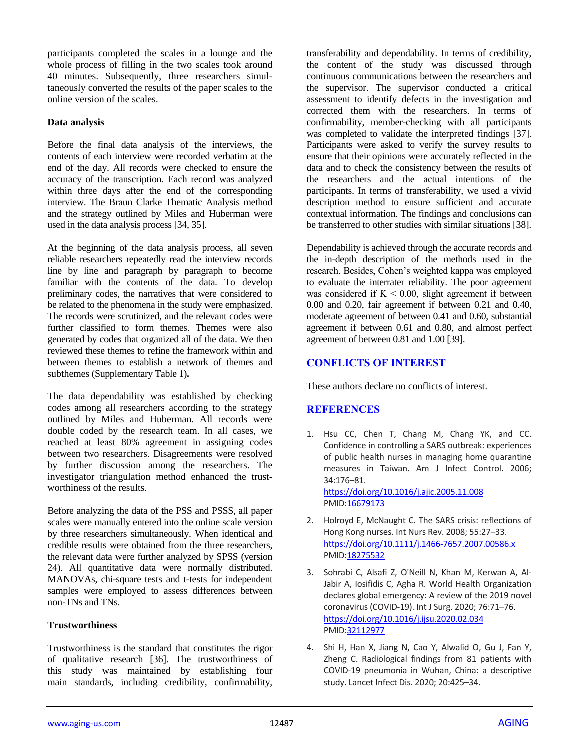participants completed the scales in a lounge and the whole process of filling in the two scales took around 40 minutes. Subsequently, three researchers simultaneously converted the results of the paper scales to the online version of the scales.

#### **Data analysis**

Before the final data analysis of the interviews, the contents of each interview were recorded verbatim at the end of the day. All records were checked to ensure the accuracy of the transcription. Each record was analyzed within three days after the end of the corresponding interview. The Braun Clarke Thematic Analysis method and the strategy outlined by Miles and Huberman were used in the data analysis process [34, 35].

At the beginning of the data analysis process, all seven reliable researchers repeatedly read the interview records line by line and paragraph by paragraph to become familiar with the contents of the data. To develop preliminary codes, the narratives that were considered to be related to the phenomena in the study were emphasized. The records were scrutinized, and the relevant codes were further classified to form themes. Themes were also generated by codes that organized all of the data. We then reviewed these themes to refine the framework within and between themes to establish a network of themes and subthemes (Supplementary Table 1)**.**

The data dependability was established by checking codes among all researchers according to the strategy outlined by Miles and Huberman. All records were double coded by the research team. In all cases, we reached at least 80% agreement in assigning codes between two researchers. Disagreements were resolved by further discussion among the researchers. The investigator triangulation method enhanced the trustworthiness of the results.

Before analyzing the data of the PSS and PSSS, all paper scales were manually entered into the online scale version by three researchers simultaneously. When identical and credible results were obtained from the three researchers, the relevant data were further analyzed by SPSS (version 24). All quantitative data were normally distributed. MANOVAs, chi-square tests and t-tests for independent samples were employed to assess differences between non-TNs and TNs.

#### **Trustworthiness**

Trustworthiness is the standard that constitutes the rigor of qualitative research [36]. The trustworthiness of this study was maintained by establishing four main standards, including credibility, confirmability, transferability and dependability. In terms of credibility, the content of the study was discussed through continuous communications between the researchers and the supervisor. The supervisor conducted a critical assessment to identify defects in the investigation and corrected them with the researchers. In terms of confirmability, member-checking with all participants was completed to validate the interpreted findings [37]. Participants were asked to verify the survey results to ensure that their opinions were accurately reflected in the data and to check the consistency between the results of the researchers and the actual intentions of the participants. In terms of transferability, we used a vivid description method to ensure sufficient and accurate contextual information. The findings and conclusions can be transferred to other studies with similar situations [38].

Dependability is achieved through the accurate records and the in-depth description of the methods used in the research. Besides, Cohen's weighted kappa was employed to evaluate the interrater reliability. The poor agreement was considered if  $K < 0.00$ , slight agreement if between 0.00 and 0.20, fair agreement if between 0.21 and 0.40, moderate agreement of between 0.41 and 0.60, substantial agreement if between 0.61 and 0.80, and almost perfect agreement of between 0.81 and 1.00 [39].

#### **CONFLICTS OF INTEREST**

These authors declare no conflicts of interest.

#### **REFERENCES**

1. Hsu CC, Chen T, Chang M, Chang YK, and CC. Confidence in controlling a SARS outbreak: experiences of public health nurses in managing home quarantine measures in Taiwan. Am J Infect Control. 2006; 34:176–81. <https://doi.org/10.1016/j.ajic.2005.11.008> PMI[D:16679173](https://www.ncbi.nlm.nih.gov/pubmed/16679173)

2. Holroyd E, McNaught C. The SARS crisis: reflections of Hong Kong nurses. Int Nurs Rev. 2008; 55:27–33. <https://doi.org/10.1111/j.1466-7657.2007.00586.x> PMI[D:18275532](https://www.ncbi.nlm.nih.gov/pubmed/18275532)

- 3. Sohrabi C, Alsafi Z, O'Neill N, Khan M, Kerwan A, Al-Jabir A, Iosifidis C, Agha R. World Health Organization declares global emergency: A review of the 2019 novel coronavirus (COVID-19). Int J Surg. 2020; 76:71–76. <https://doi.org/10.1016/j.ijsu.2020.02.034> PMI[D:32112977](https://pubmed.ncbi.nlm.nih.gov/32112977)
- 4. Shi H, Han X, Jiang N, Cao Y, Alwalid O, Gu J, Fan Y, Zheng C. Radiological findings from 81 patients with COVID-19 pneumonia in Wuhan, China: a descriptive study. Lancet Infect Dis. 2020; 20:425–34.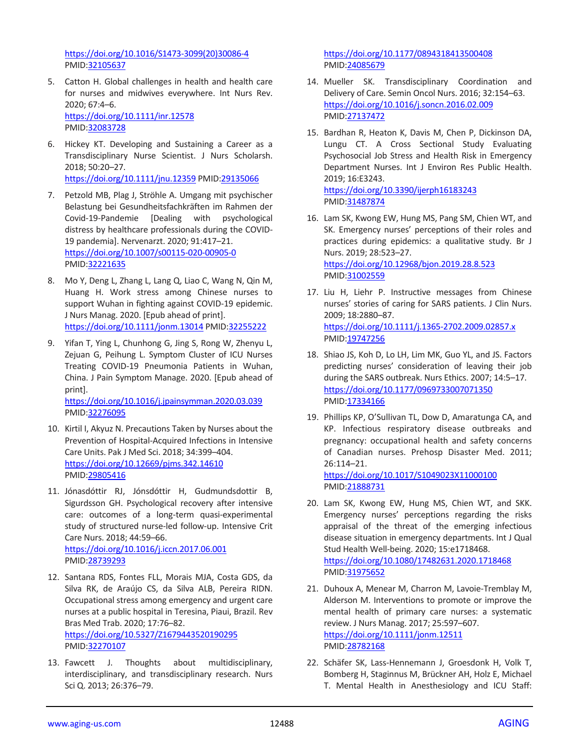[https://doi.org/10.1016/S1473-3099\(20\)30086-4](https://doi.org/10.1016/S1473-3099(20)30086-4) PMID[:32105637](https://pubmed.ncbi.nlm.nih.gov/32105637)

- 5. Catton H. Global challenges in health and health care for nurses and midwives everywhere. Int Nurs Rev. 2020; 67:4–6. <https://doi.org/10.1111/inr.12578> PMID[:32083728](https://www.ncbi.nlm.nih.gov/pubmed/32083728)
- 6. Hickey KT. Developing and Sustaining a Career as a Transdisciplinary Nurse Scientist. J Nurs Scholarsh. 2018; 50:20–27. <https://doi.org/10.1111/jnu.12359> PMI[D:29135066](https://pubmed.ncbi.nlm.nih.gov/29135066)
- 7. Petzold MB, Plag J, Ströhle A. Umgang mit psychischer Belastung bei Gesundheitsfachkräften im Rahmen der Covid-19-Pandemie [Dealing with psychological distress by healthcare professionals during the COVID-19 pandemia]. Nervenarzt. 2020; 91:417–21. <https://doi.org/10.1007/s00115-020-00905-0> PMID[:32221635](https://pubmed.ncbi.nlm.nih.gov/32221635)
- 8. Mo Y, Deng L, Zhang L, Lang Q, Liao C, Wang N, Qin M, Huang H. Work stress among Chinese nurses to support Wuhan in fighting against COVID-19 epidemic. J Nurs Manag. 2020. [Epub ahead of print]. <https://doi.org/10.1111/jonm.13014> PMID[:32255222](https://pubmed.ncbi.nlm.nih.gov/32255222)
- 9. Yifan T, Ying L, Chunhong G, Jing S, Rong W, Zhenyu L, Zejuan G, Peihung L. Symptom Cluster of ICU Nurses Treating COVID-19 Pneumonia Patients in Wuhan, China. J Pain Symptom Manage. 2020. [Epub ahead of print]. <https://doi.org/10.1016/j.jpainsymman.2020.03.039>

PMID[:32276095](https://pubmed.ncbi.nlm.nih.gov/32276095)

- 10. Kirtil I, Akyuz N. Precautions Taken by Nurses about the Prevention of Hospital-Acquired Infections in Intensive Care Units. Pak J Med Sci. 2018; 34:399–404. <https://doi.org/10.12669/pjms.342.14610> PMID[:29805416](https://www.ncbi.nlm.nih.gov/pubmed/29805416)
- 11. Jónasdóttir RJ, Jónsdóttir H, Gudmundsdottir B, Sigurdsson GH. Psychological recovery after intensive care: outcomes of a long-term quasi-experimental study of structured nurse-led follow-up. Intensive Crit Care Nurs. 2018; 44:59–66. <https://doi.org/10.1016/j.iccn.2017.06.001> PMID[:28739293](https://www.ncbi.nlm.nih.gov/pubmed/28739293)
- 12. Santana RDS, Fontes FLL, Morais MJA, Costa GDS, da Silva RK, de Araújo CS, da Silva ALB, Pereira RIDN. Occupational stress among emergency and urgent care nurses at a public hospital in Teresina, Piaui, Brazil. Rev Bras Med Trab. 2020; 17:76–82. <https://doi.org/10.5327/Z1679443520190295> PMID[:32270107](https://pubmed.ncbi.nlm.nih.gov/32270107)
- 13. Fawcett J. Thoughts about multidisciplinary, interdisciplinary, and transdisciplinary research. Nurs Sci Q. 2013; 26:376–79.

<https://doi.org/10.1177/0894318413500408> PMI[D:24085679](https://www.ncbi.nlm.nih.gov/pubmed/24085679)

- 14. Mueller SK. Transdisciplinary Coordination and Delivery of Care. Semin Oncol Nurs. 2016; 32:154–63. <https://doi.org/10.1016/j.soncn.2016.02.009> PMI[D:27137472](https://www.ncbi.nlm.nih.gov/pubmed/27137472)
- 15. Bardhan R, Heaton K, Davis M, Chen P, Dickinson DA, Lungu CT. A Cross Sectional Study Evaluating Psychosocial Job Stress and Health Risk in Emergency Department Nurses. Int J Environ Res Public Health. 2019; 16:E3243. <https://doi.org/10.3390/ijerph16183243> PMI[D:31487874](https://www.ncbi.nlm.nih.gov/pubmed/31487874)
- 16. Lam SK, Kwong EW, Hung MS, Pang SM, Chien WT, and SK. Emergency nurses' perceptions of their roles and practices during epidemics: a qualitative study. Br J Nurs. 2019; 28:523–27. <https://doi.org/10.12968/bjon.2019.28.8.523> PMI[D:31002559](https://www.ncbi.nlm.nih.gov/pubmed/31002559)
- 17. Liu H, Liehr P. Instructive messages from Chinese nurses' stories of caring for SARS patients. J Clin Nurs. 2009; 18:2880–87. <https://doi.org/10.1111/j.1365-2702.2009.02857.x> PMI[D:19747256](https://www.ncbi.nlm.nih.gov/pubmed/19747256)
- 18. Shiao JS, Koh D, Lo LH, Lim MK, Guo YL, and JS. Factors predicting nurses' consideration of leaving their job during the SARS outbreak. Nurs Ethics. 2007; 14:5–17. <https://doi.org/10.1177/0969733007071350> PMID: 17334166
- 19. Phillips KP, O'Sullivan TL, Dow D, Amaratunga CA, and KP. Infectious respiratory disease outbreaks and pregnancy: occupational health and safety concerns of Canadian nurses. Prehosp Disaster Med. 2011; 26:114–21.

<https://doi.org/10.1017/S1049023X11000100> PMI[D:21888731](https://www.ncbi.nlm.nih.gov/pubmed/21888731)

- 20. Lam SK, Kwong EW, Hung MS, Chien WT, and SKK. Emergency nurses' perceptions regarding the risks appraisal of the threat of the emerging infectious disease situation in emergency departments. Int J Qual Stud Health Well-being. 2020; 15:e1718468. <https://doi.org/10.1080/17482631.2020.1718468> PMI[D:31975652](https://www.ncbi.nlm.nih.gov/pubmed/31975652)
- 21. Duhoux A, Menear M, Charron M, Lavoie-Tremblay M, Alderson M. Interventions to promote or improve the mental health of primary care nurses: a systematic review. J Nurs Manag. 2017; 25:597–607. <https://doi.org/10.1111/jonm.12511> PMI[D:28782168](https://www.ncbi.nlm.nih.gov/pubmed/28782168)
- 22. Schäfer SK, Lass-Hennemann J, Groesdonk H, Volk T, Bomberg H, Staginnus M, Brückner AH, Holz E, Michael T. Mental Health in Anesthesiology and ICU Staff: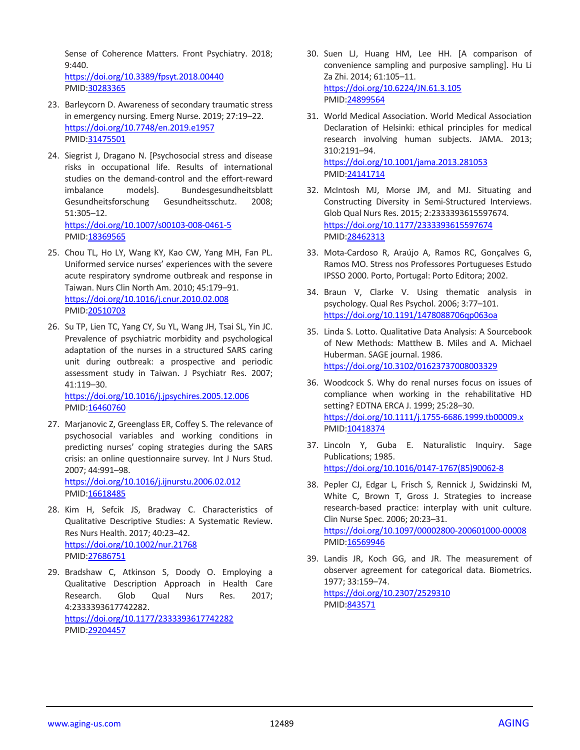Sense of Coherence Matters. Front Psychiatry. 2018; 9:440.

<https://doi.org/10.3389/fpsyt.2018.00440> PMID[:30283365](https://www.ncbi.nlm.nih.gov/pubmed/30283365)

- 23. Barleycorn D. Awareness of secondary traumatic stress in emergency nursing. Emerg Nurse. 2019; 27:19–22. <https://doi.org/10.7748/en.2019.e1957> PMID[:31475501](https://www.ncbi.nlm.nih.gov/pubmed/31475501)
- 24. Siegrist J, Dragano N. [Psychosocial stress and disease risks in occupational life. Results of international studies on the demand-control and the effort-reward imbalance models]. Bundesgesundheitsblatt Gesundheitsforschung Gesundheitsschutz. 2008; 51:305–12. <https://doi.org/10.1007/s00103-008-0461-5> PMID[:18369565](https://www.ncbi.nlm.nih.gov/pubmed/18369565)
- 25. Chou TL, Ho LY, Wang KY, Kao CW, Yang MH, Fan PL. Uniformed service nurses' experiences with the severe acute respiratory syndrome outbreak and response in Taiwan. Nurs Clin North Am. 2010; 45:179–91. <https://doi.org/10.1016/j.cnur.2010.02.008> PMID[:20510703](https://www.ncbi.nlm.nih.gov/pubmed/20510703)
- 26. Su TP, Lien TC, Yang CY, Su YL, Wang JH, Tsai SL, Yin JC. Prevalence of psychiatric morbidity and psychological adaptation of the nurses in a structured SARS caring unit during outbreak: a prospective and periodic assessment study in Taiwan. J Psychiatr Res. 2007; 41:119–30.

<https://doi.org/10.1016/j.jpsychires.2005.12.006> PMID[:16460760](https://www.ncbi.nlm.nih.gov/pubmed/16460760)

- 27. Marjanovic Z, Greenglass ER, Coffey S. The relevance of psychosocial variables and working conditions in predicting nurses' coping strategies during the SARS crisis: an online questionnaire survey. Int J Nurs Stud. 2007; 44:991–98. <https://doi.org/10.1016/j.ijnurstu.2006.02.012> PMID[:16618485](https://www.ncbi.nlm.nih.gov/pubmed/16618485)
- 28. Kim H, Sefcik JS, Bradway C. Characteristics of Qualitative Descriptive Studies: A Systematic Review. Res Nurs Health. 2017; 40:23–42. <https://doi.org/10.1002/nur.21768> PMID[:27686751](https://www.ncbi.nlm.nih.gov/pubmed/27686751)
- 29. Bradshaw C, Atkinson S, Doody O. Employing a Qualitative Description Approach in Health Care Research. Glob Qual Nurs Res. 2017; 4:2333393617742282. <https://doi.org/10.1177/2333393617742282> PMID[:29204457](https://www.ncbi.nlm.nih.gov/pubmed/29204457)
- 30. Suen LJ, Huang HM, Lee HH. [A comparison of convenience sampling and purposive sampling]. Hu Li Za Zhi. 2014; 61:105–11. <https://doi.org/10.6224/JN.61.3.105> PMI[D:24899564](https://pubmed.ncbi.nlm.nih.gov/24899564)
- 31. World Medical Association. World Medical Association Declaration of Helsinki: ethical principles for medical research involving human subjects. JAMA. 2013; 310:2191–94. <https://doi.org/10.1001/jama.2013.281053> PMI[D:24141714](https://www.ncbi.nlm.nih.gov/pubmed/24141714)
- 32. McIntosh MJ, Morse JM, and MJ. Situating and Constructing Diversity in Semi-Structured Interviews. Glob Qual Nurs Res. 2015; 2:2333393615597674. <https://doi.org/10.1177/2333393615597674> PMI[D:28462313](https://www.ncbi.nlm.nih.gov/pubmed/28462313)
- 33. Mota-Cardoso R, Araújo A, Ramos RC, Gonçalves G, Ramos MO. Stress nos Professores Portugueses Estudo IPSSO 2000. Porto, Portugal: Porto Editora; 2002.
- 34. Braun V, Clarke V. Using thematic analysis in psychology. Qual Res Psychol. 2006; 3:77–101. <https://doi.org/10.1191/1478088706qp063oa>
- 35. Linda S. Lotto. Qualitative Data Analysis: A Sourcebook of New Methods: Matthew B. Miles and A. Michael Huberman. SAGE journal. 1986. <https://doi.org/10.3102/01623737008003329>
- 36. Woodcock S. Why do renal nurses focus on issues of compliance when working in the rehabilitative HD setting? EDTNA ERCA J. 1999; 25:28–30. <https://doi.org/10.1111/j.1755-6686.1999.tb00009.x> PMI[D:10418374](https://pubmed.ncbi.nlm.nih.gov/10418374)
- 37. Lincoln Y, Guba E. Naturalistic Inquiry. Sage Publications; 1985. [https://doi.org/10.1016/0147-1767\(85\)90062-8](https://doi.org/10.1016/0147-1767%2885%2990062-8)
- 38. Pepler CJ, Edgar L, Frisch S, Rennick J, Swidzinski M, White C, Brown T, Gross J. Strategies to increase research-based practice: interplay with unit culture. Clin Nurse Spec. 2006; 20:23–31. <https://doi.org/10.1097/00002800-200601000-00008> PMI[D:16569946](https://www.ncbi.nlm.nih.gov/pubmed/16569946)
- 39. Landis JR, Koch GG, and JR. The measurement of observer agreement for categorical data. Biometrics. 1977; 33:159–74. <https://doi.org/10.2307/2529310> PMI[D:843571](https://www.ncbi.nlm.nih.gov/pubmed/843571)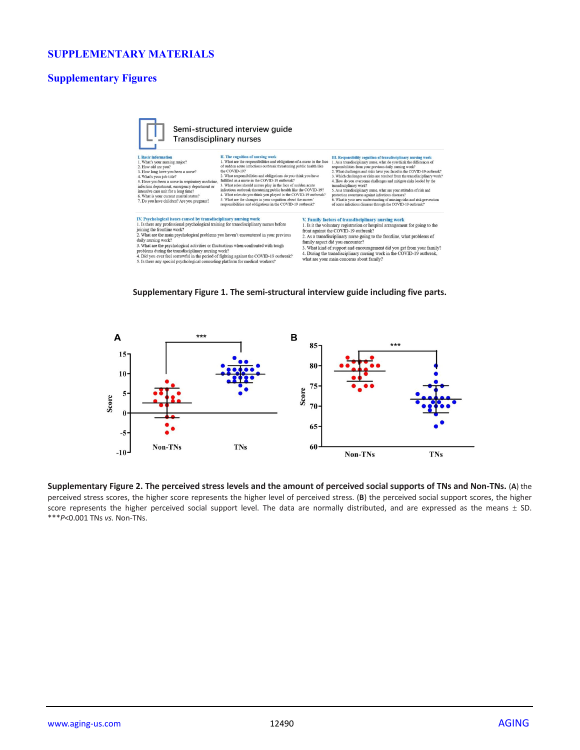# **SUPPLEMENTARY MATERIALS**

# **Supplementary Figures**



**Supplementary Figure 1. The semi-structural interview guide including five parts.**



**Supplementary Figure 2. The perceived stress levels and the amount of perceived social supports of TNs and Non-TNs.** (**A**) the perceived stress scores, the higher score represents the higher level of perceived stress. (**B**) the perceived social support scores, the higher score represents the higher perceived social support level. The data are normally distributed, and are expressed as the means  $\pm$  SD. \*\*\**P*<0.001 TNs *vs.* Non-TNs.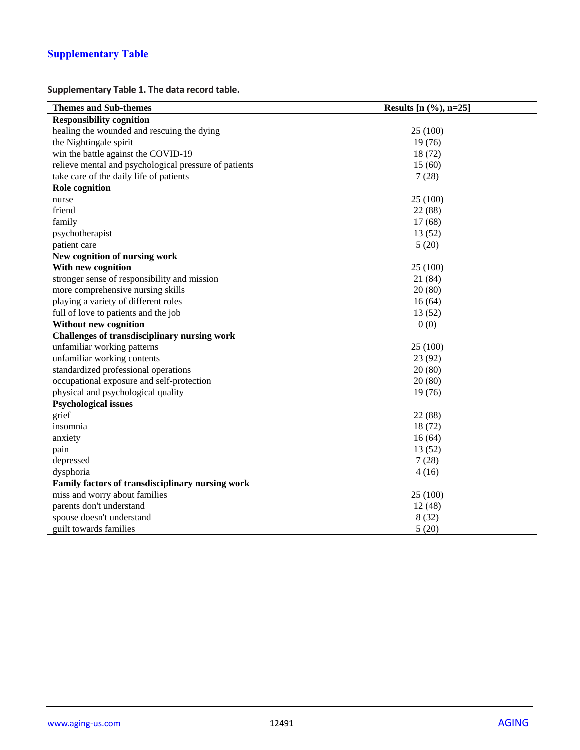# **Supplementary Table**

**Supplementary Table 1. The data record table.**

| <b>Themes and Sub-themes</b>                          | Results $[n (%, n=25]$ |
|-------------------------------------------------------|------------------------|
| <b>Responsibility cognition</b>                       |                        |
| healing the wounded and rescuing the dying            | 25 (100)               |
| the Nightingale spirit                                | 19(76)                 |
| win the battle against the COVID-19                   | 18(72)                 |
| relieve mental and psychological pressure of patients | 15(60)                 |
| take care of the daily life of patients               | 7(28)                  |
| <b>Role</b> cognition                                 |                        |
| nurse                                                 | 25 (100)               |
| friend                                                | 22 (88)                |
| family                                                | 17(68)                 |
| psychotherapist                                       | 13(52)                 |
| patient care                                          | 5(20)                  |
| New cognition of nursing work                         |                        |
| With new cognition                                    | 25 (100)               |
| stronger sense of responsibility and mission          | 21 (84)                |
| more comprehensive nursing skills                     | 20(80)                 |
| playing a variety of different roles                  | 16(64)                 |
| full of love to patients and the job                  | 13(52)                 |
| <b>Without new cognition</b>                          | 0(0)                   |
| Challenges of transdisciplinary nursing work          |                        |
| unfamiliar working patterns                           | 25 (100)               |
| unfamiliar working contents                           | 23(92)                 |
| standardized professional operations                  | 20(80)                 |
| occupational exposure and self-protection             | 20(80)                 |
| physical and psychological quality                    | 19(76)                 |
| <b>Psychological issues</b>                           |                        |
| grief                                                 | 22 (88)                |
| insomnia                                              | 18(72)                 |
| anxiety                                               | 16(64)                 |
| pain                                                  | 13(52)                 |
| depressed                                             | 7(28)                  |
| dysphoria                                             | 4(16)                  |
| Family factors of transdisciplinary nursing work      |                        |
| miss and worry about families                         | 25 (100)               |
| parents don't understand                              | 12(48)                 |
| spouse doesn't understand                             | 8(32)                  |
| guilt towards families                                | 5(20)                  |